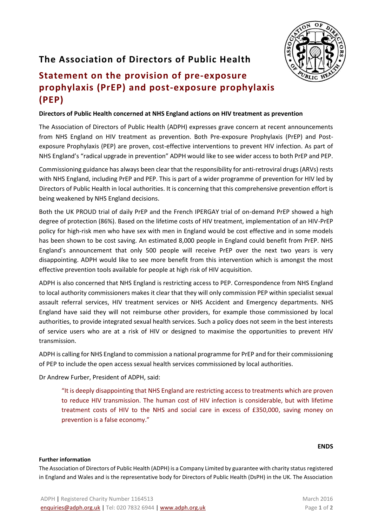## **The Association of Directors of Public Health**

# **Statement on the provision of pre-exposure prophylaxis (PrEP) and post-exposure prophylaxis (PEP)**

### **Directors of Public Health concerned at NHS England actions on HIV treatment as prevention**

The Association of Directors of Public Health (ADPH) expresses grave concern at recent announcements from NHS England on HIV treatment as prevention. Both Pre-exposure Prophylaxis (PrEP) and Postexposure Prophylaxis (PEP) are proven, cost-effective interventions to prevent HIV infection. As part of NHS England's "radical upgrade in prevention" ADPH would like to see wider access to both PrEP and PEP.

Commissioning guidance has always been clear that the responsibility for anti-retroviral drugs (ARVs) rests with NHS England, including PrEP and PEP. This is part of a wider programme of prevention for HIV led by Directors of Public Health in local authorities. It is concerning that this comprehensive prevention effort is being weakened by NHS England decisions.

Both the UK PROUD trial of daily PrEP and the French IPERGAY trial of on-demand PrEP showed a high degree of protection (86%). Based on the lifetime costs of HIV treatment, implementation of an HIV-PrEP policy for high-risk men who have sex with men in England would be cost effective and in some models has been shown to be cost saving. An estimated 8,000 people in England could benefit from PrEP. NHS England's announcement that only 500 people will receive PrEP over the next two years is very disappointing. ADPH would like to see more benefit from this intervention which is amongst the most effective prevention tools available for people at high risk of HIV acquisition.

ADPH is also concerned that NHS England is restricting access to PEP. Correspondence from NHS England to local authority commissioners makes it clear that they will only commission PEP within specialist sexual assault referral services, HIV treatment services or NHS Accident and Emergency departments. NHS England have said they will not reimburse other providers, for example those commissioned by local authorities, to provide integrated sexual health services. Such a policy does not seem in the best interests of service users who are at a risk of HIV or designed to maximise the opportunities to prevent HIV transmission.

ADPH is calling for NHS England to commission a national programme for PrEP and for their commissioning of PEP to include the open access sexual health services commissioned by local authorities.

Dr Andrew Furber, President of ADPH, said:

"It is deeply disappointing that NHS England are restricting access to treatments which are proven to reduce HIV transmission. The human cost of HIV infection is considerable, but with lifetime treatment costs of HIV to the NHS and social care in excess of £350,000, saving money on prevention is a false economy."

### **ENDS**

### **Further information**

The Association of Directors of Public Health (ADPH) is a Company Limited by guarantee with charity status registered in England and Wales and is the representative body for Directors of Public Health (DsPH) in the UK. The Association